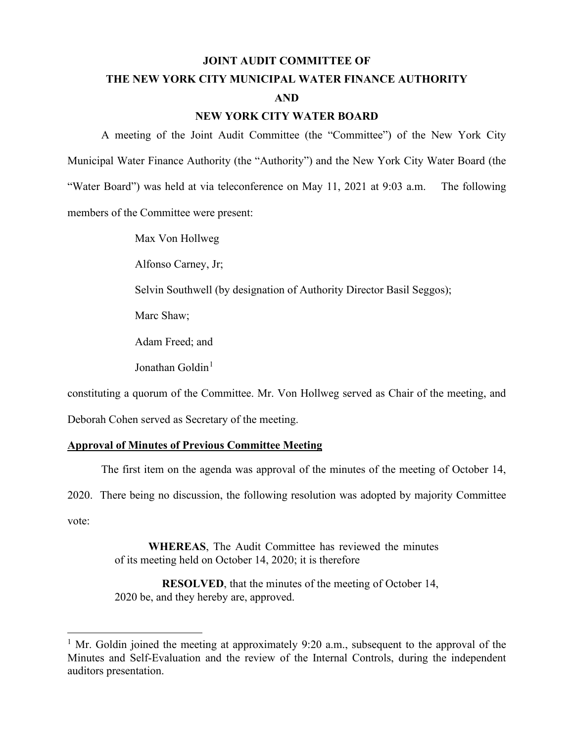#### **JOINT AUDIT COMMITTEE OF**

# **THE NEW YORK CITY MUNICIPAL WATER FINANCE AUTHORITY AND**

#### **NEW YORK CITY WATER BOARD**

A meeting of the Joint Audit Committee (the "Committee") of the New York City Municipal Water Finance Authority (the "Authority") and the New York City Water Board (the "Water Board") was held at via teleconference on May 11, 2021 at 9:03 a.m. The following members of the Committee were present:

Max Von Hollweg

Alfonso Carney, Jr;

Selvin Southwell (by designation of Authority Director Basil Seggos);

Marc Shaw;

Adam Freed; and

Jonathan Goldin<sup>[1](#page-0-0)</sup>

constituting a quorum of the Committee. Mr. Von Hollweg served as Chair of the meeting, and

Deborah Cohen served as Secretary of the meeting.

## **Approval of Minutes of Previous Committee Meeting**

The first item on the agenda was approval of the minutes of the meeting of October 14,

2020. There being no discussion, the following resolution was adopted by majority Committee vote:

> **WHEREAS**, The Audit Committee has reviewed the minutes of its meeting held on October 14, 2020; it is therefore

> **RESOLVED**, that the minutes of the meeting of October 14, 2020 be, and they hereby are, approved.

<span id="page-0-0"></span><sup>&</sup>lt;sup>1</sup> Mr. Goldin joined the meeting at approximately 9:20 a.m., subsequent to the approval of the Minutes and Self-Evaluation and the review of the Internal Controls, during the independent auditors presentation.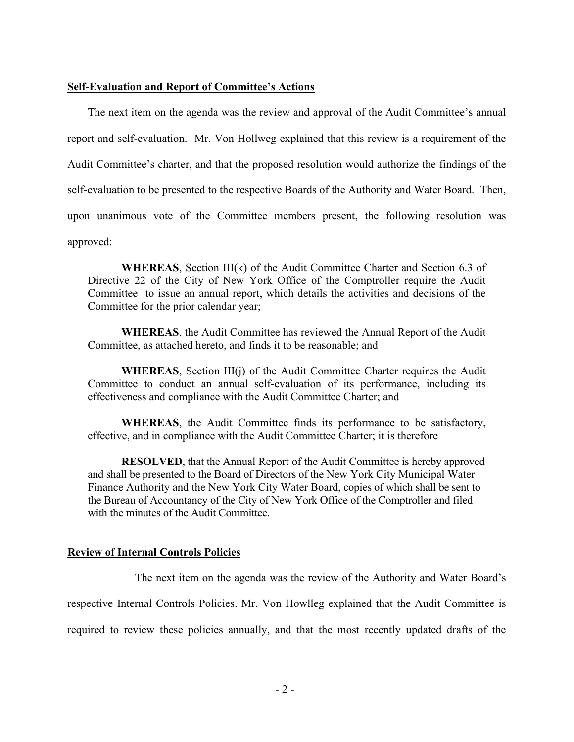#### **Self-Evaluation and Report of Committee's Actions**

The next item on the agenda was the review and approval of the Audit Committee's annual report and self-evaluation. Mr. Von Hollweg explained that this review is a requirement of the Audit Committee's charter, and that the proposed resolution would authorize the findings of the self-evaluation to be presented to the respective Boards of the Authority and Water Board. Then, upon unanimous vote of the Committee members present, the following resolution was approved:

**WHEREAS**, Section III(k) of the Audit Committee Charter and Section 6.3 of Directive 22 of the City of New York Office of the Comptroller require the Audit Committee to issue an annual report, which details the activities and decisions of the Committee for the prior calendar year;

**WHEREAS**, the Audit Committee has reviewed the Annual Report of the Audit Committee, as attached hereto, and finds it to be reasonable; and

**WHEREAS**, Section III(j) of the Audit Committee Charter requires the Audit Committee to conduct an annual self-evaluation of its performance, including its effectiveness and compliance with the Audit Committee Charter; and

**WHEREAS**, the Audit Committee finds its performance to be satisfactory, effective, and in compliance with the Audit Committee Charter; it is therefore

**RESOLVED**, that the Annual Report of the Audit Committee is hereby approved and shall be presented to the Board of Directors of the New York City Municipal Water Finance Authority and the New York City Water Board, copies of which shall be sent to the Bureau of Accountancy of the City of New York Office of the Comptroller and filed with the minutes of the Audit Committee.

#### **Review of Internal Controls Policies**

The next item on the agenda was the review of the Authority and Water Board's respective Internal Controls Policies. Mr. Von Howlleg explained that the Audit Committee is required to review these policies annually, and that the most recently updated drafts of the